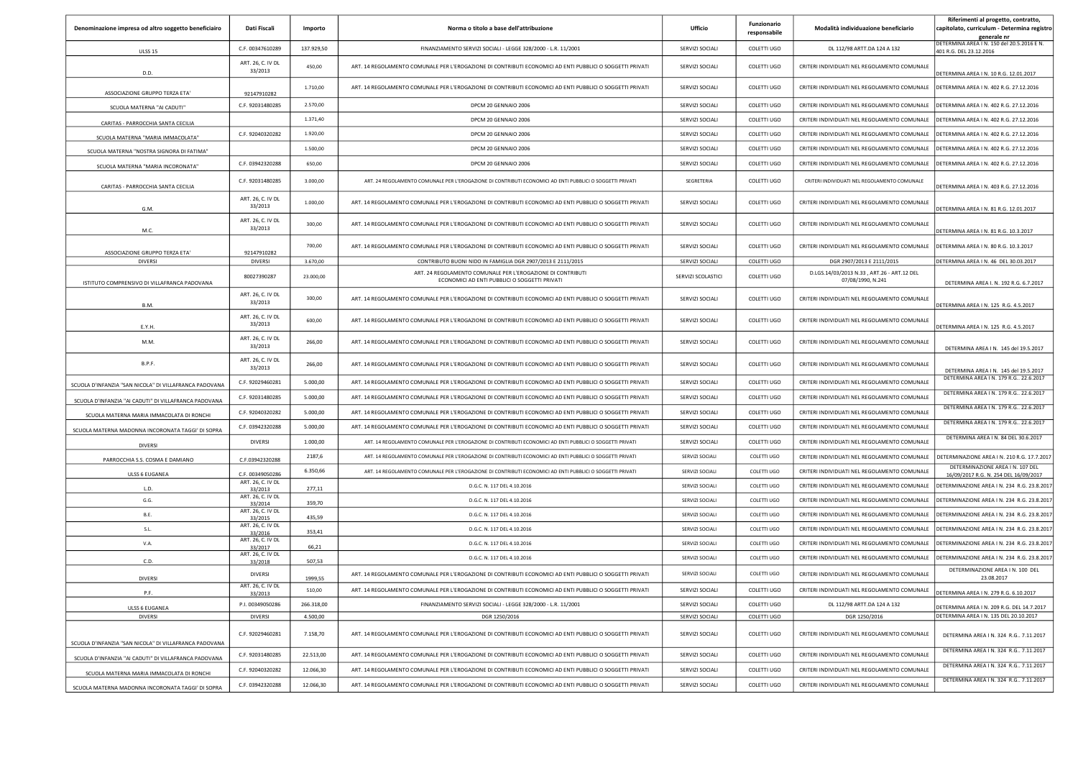|                                                        |                              |                   |                                                                                                              |                    | Funzionario  |                                                                 | Riferimenti al progetto, contratto,                                               |
|--------------------------------------------------------|------------------------------|-------------------|--------------------------------------------------------------------------------------------------------------|--------------------|--------------|-----------------------------------------------------------------|-----------------------------------------------------------------------------------|
| Denominazione impresa od altro soggetto beneficiairo   | Dati Fiscali                 | Importo           | Norma o titolo a base dell'attribuzione                                                                      | <b>Ufficio</b>     | responsabile | Modalità individuazione beneficiario                            | capitolato, curriculum - Determina registro<br><u>generale nr</u>                 |
| <b>ULSS 15</b>                                         | C.F. 00347610289             | 137.929,50        | FINANZIAMENTO SERVIZI SOCIALI - LEGGE 328/2000 - L.R. 11/2001                                                | SERVIZI SOCIALI    | COLETTI UGO  | DL 112/98 ARTT.DA 124 A 132                                     | DETERMINA AREA I N. 150 del 20.5.2016 E N.<br>401 R.G. DEL 23.12.2016             |
|                                                        | ART. 26, C. IV DL<br>33/2013 | 450,00            | ART. 14 REGOLAMENTO COMUNALE PER L'EROGAZIONE DI CONTRIBUTI ECONOMICI AD ENTI PUBBLICI O SOGGETTI PRIVATI    | SERVIZI SOCIALI    | COLETTI UGO  | CRITERI INDIVIDUATI NEL REGOLAMENTO COMUNALE                    |                                                                                   |
| D.D.<br>ASSOCIAZIONE GRUPPO TERZA ETA'                 | 92147910282                  | 1.710,00          | ART. 14 REGOLAMENTO COMUNALE PER L'EROGAZIONE DI CONTRIBUTI ECONOMICI AD ENTI PUBBLICI O SOGGETTI PRIVATI    | SERVIZI SOCIALI    | COLETTI UGO  | CRITERI INDIVIDUATI NEL REGOLAMENTO COMUNALE                    | DETERMINA AREA I N. 10 R.G. 12.01.2017<br>DETERMINA AREA I N. 402 R.G. 27.12.2016 |
| SCUOLA MATERNA "AI CADUTI"                             | C.F. 92031480285             | 2.570,00          | DPCM 20 GENNAIO 2006                                                                                         | SERVIZI SOCIALI    | COLETTI UGO  | CRITERI INDIVIDUATI NEL REGOLAMENTO COMUNALE                    | DETERMINA AREA I N. 402 R.G. 27.12.2016                                           |
|                                                        |                              | 1.371.40          | DPCM 20 GENNAIO 2006                                                                                         | SERVIZI SOCIALI    | COLETTI UGO  | CRITERI INDIVIDUATI NEL REGOLAMENTO COMUNALE                    | DETERMINA AREA I N. 402 R.G. 27.12.2016                                           |
| CARITAS - PARROCCHIA SANTA CECILIA                     | C.F. 92040320282             | 1.920,00          | DPCM 20 GENNAIO 2006                                                                                         | SERVIZI SOCIALI    | COLETTI UGO  | CRITERI INDIVIDUATI NEL REGOLAMENTO COMUNALE                    | DETERMINA AREA I N. 402 R.G. 27.12.2016                                           |
| SCUOLA MATERNA "MARIA IMMACOLATA"                      |                              | 1.500.00          | DPCM 20 GENNAIO 2006                                                                                         | SERVIZI SOCIALI    | COLETTI UGO  | CRITERI INDIVIDUATI NEL REGOLAMENTO COMUNALE                    | DETERMINA AREA I N. 402 R.G. 27.12.2016                                           |
| SCUOLA MATERNA "NOSTRA SIGNORA DI FATIMA"              | C.F. 03942320288             | 650,00            | DPCM 20 GENNAIO 2006                                                                                         | SERVIZI SOCIALI    | COLETTI UGO  | CRITERI INDIVIDUATI NEL REGOLAMENTO COMUNALE                    | DETERMINA AREA I N. 402 R.G. 27.12.2016                                           |
| SCUOLA MATERNA "MARIA INCORONATA"                      |                              |                   |                                                                                                              |                    |              |                                                                 |                                                                                   |
| CARITAS - PARROCCHIA SANTA CECILIA                     | C.F. 92031480285             | 3.000,00          | ART. 24 REGOLAMENTO COMUNALE PER L'EROGAZIONE DI CONTRIBUTI ECONOMICI AD ENTI PUBBLICI O SOGGETTI PRIVATI    | SEGRETERIA         | COLETTI UGO  | CRITERI INDIVIDUATI NEL REGOLAMENTO COMUNALE                    | DETERMINA AREA I N. 403 R.G. 27.12.2016                                           |
| G.M.                                                   | ART. 26, C. IV DL<br>33/2013 | 1.000,00          | ART. 14 REGOLAMENTO COMUNALE PER L'EROGAZIONE DI CONTRIBUTI ECONOMICI AD ENTI PUBBLICI O SOGGETTI PRIVATI    | SERVIZI SOCIALI    | COLETTI UGO  | CRITERI INDIVIDUATI NEL REGOLAMENTO COMUNALE                    | DETERMINA AREA I N. 81 R.G. 12.01.2017                                            |
| M.C.                                                   | ART. 26, C. IV DL<br>33/2013 | 300,00            | ART. 14 REGOLAMENTO COMUNALE PER L'EROGAZIONE DI CONTRIBUTI ECONOMICI AD ENTI PUBBLICI O SOGGETTI PRIVATI    | SERVIZI SOCIALI    | COLETTI UGO  | CRITERI INDIVIDUATI NEL REGOLAMENTO COMUNALE                    | DETERMINA AREA I N. 81 R.G. 10.3.2017                                             |
| ASSOCIAZIONE GRUPPO TERZA ETA'                         | 92147910282                  | 700.00            | ART. 14 REGOLAMENTO COMUNALE PER L'EROGAZIONE DI CONTRIBUTI ECONOMICI AD ENTI PUBBLICI O SOGGETTI PRIVATI    | SERVIZI SOCIALI    | COLETTI UGO  | CRITERI INDIVIDUATI NEL REGOLAMENTO COMUNALE                    | DETERMINA AREA I N. 80 R.G. 10.3.2017                                             |
| <b>DIVERSI</b>                                         | DIVERSI                      | 3.670,00          | CONTRIBUTO BUONI NIDO IN FAMIGLIA DGR 2907/2013 E 2111/2015                                                  | SERVIZI SOCIALI    | COLETTI UGO  | DGR 2907/2013 E 2111/2015                                       | DETERMINA AREA   N. 46 DEL 30.03.2017                                             |
| ISTITUTO COMPRENSIVO DI VILLAFRANCA PADOVANA           | 80027390287                  | 23.000,00         | ART. 24 REGOLAMENTO COMUNALE PER L'EROGAZIONE DI CONTRIBUTI<br>ECONOMICI AD ENTI PUBBLICI O SOGGETTI PRIVATI | SERVIZI SCOLASTICI | COLETTI UGO  | D.LGS.14/03/2013 N.33, ART.26 - ART.12 DEL<br>07/08/1990, N.241 | DETERMINA AREA I. N. 192 R.G. 6.7.2017                                            |
| B.M.                                                   | ART. 26, C. IV DL<br>33/2013 | 300.00            | ART. 14 REGOLAMENTO COMUNALE PER L'EROGAZIONE DI CONTRIBUTI ECONOMICI AD ENTI PUBBLICI O SOGGETTI PRIVATI    | SERVIZI SOCIALI    | COLETTI UGO  | CRITERI INDIVIDUATI NEL REGOLAMENTO COMUNALE                    | DETERMINA AREA I N. 125 R.G. 4.5.2017                                             |
| E.Y.H.                                                 | ART. 26, C. IV DL<br>33/2013 | 600,00            | ART. 14 REGOLAMENTO COMUNALE PER L'EROGAZIONE DI CONTRIBUTI ECONOMICI AD ENTI PUBBLICI O SOGGETTI PRIVATI    | SERVIZI SOCIALI    | COLETTI UGO  | CRITERI INDIVIDUATI NEL REGOLAMENTO COMUNALE                    | DETERMINA AREA I N. 125 R.G. 4.5.2017                                             |
| M.M.                                                   | ART. 26, C. IV DL<br>33/2013 | 266,00            | ART. 14 REGOLAMENTO COMUNALE PER L'EROGAZIONE DI CONTRIBUTI ECONOMICI AD ENTI PUBBLICI O SOGGETTI PRIVATI    | SERVIZI SOCIALI    | COLETTI UGO  | CRITERI INDIVIDUATI NEL REGOLAMENTO COMUNALE                    | DETERMINA AREA IN. 145 del 19.5.2017                                              |
| B.P.F.                                                 | ART. 26, C. IV DL<br>33/2013 | 266,00            | ART. 14 REGOLAMENTO COMUNALE PER L'EROGAZIONE DI CONTRIBUTI ECONOMICI AD ENTI PUBBLICI O SOGGETTI PRIVATI    | SERVIZI SOCIALI    | COLETTI UGO  | CRITERI INDIVIDUATI NEL REGOLAMENTO COMUNALE                    | DETERMINA AREA IN. 145 del 19.5.2017                                              |
| SCUOLA D'INFANZIA "SAN NICOLA" DI VILLAFRANCA PADOVANA | C.F. 92029460281             | 5.000,00          | ART. 14 REGOLAMENTO COMUNALE PER L'EROGAZIONE DI CONTRIBUTI ECONOMICI AD ENTI PUBBLICI O SOGGETTI PRIVATI    | SERVIZI SOCIALI    | COLETTI UGO  | CRITERI INDIVIDUATI NEL REGOLAMENTO COMUNALE                    | DETERMINA AREA I N. 179 R.G., 22.6.2017                                           |
| SCUOLA D'INFANZIA "AI CADUTI" DI VILLAFRANCA PADOVANA  | C.F. 92031480285             | 5.000.00          | ART. 14 REGOLAMENTO COMUNALE PER L'EROGAZIONE DI CONTRIBUTI ECONOMICI AD ENTI PUBBLICI O SOGGETTI PRIVATI    | SERVIZI SOCIALI    | COLETTI UGO  | CRITERI INDIVIDUATI NEL REGOLAMENTO COMUNALE                    | DETERMINA AREA I N. 179 R.G., 22.6.2017                                           |
| SCUOLA MATERNA MARIA IMMACOLATA DI RONCHI              | C.F. 92040320282             | 5.000,00          | ART. 14 REGOLAMENTO COMUNALE PER L'EROGAZIONE DI CONTRIBUTI ECONOMICI AD ENTI PUBBLICI O SOGGETTI PRIVATI    | SERVIZI SOCIALI    | COLETTI UGO  | CRITERI INDIVIDUATI NEL REGOLAMENTO COMUNALE                    | DETERMINA AREA I N. 179 R.G., 22.6.2017                                           |
| SCUOLA MATERNA MADONNA INCORONATA TAGGI' DI SOPRA      | C.F. 03942320288             | 5.000.00          | ART. 14 REGOLAMENTO COMUNALE PER L'EROGAZIONE DI CONTRIBUTI ECONOMICI AD ENTI PUBBLICI O SOGGETTI PRIVATI    | SERVIZI SOCIALI    | COLETTI UGO  | CRITERI INDIVIDUATI NEL REGOLAMENTO COMUNALE                    | DETERMINA AREA I N. 179 R.G., 22.6.2017                                           |
| <b>DIVERSI</b>                                         | <b>DIVERSI</b>               | 1.000,00          | ART. 14 REGOLAMENTO COMUNALE PER L'EROGAZIONE DI CONTRIBUTI ECONOMICI AD ENTI PUBBLICI O SOGGETTI PRIVATI    | SERVIZI SOCIALI    | COLETTI UGO  | CRITERI INDIVIDUATI NEL REGOLAMENTO COMUNALE                    | DETERMINA AREA I N. 84 DEL 30.6.2017                                              |
| PARROCCHIA S.S. COSMA E DAMIANO                        | C.F.03942320288              | 2187,6            | ART. 14 REGOLAMENTO COMUNALE PER L'EROGAZIONE DI CONTRIBUTI ECONOMICI AD ENTI PUBBLICI O SOGGETTI PRIVATI    | SERVIZI SOCIALI    | COLETTI UGO  | CRITERI INDIVIDUATI NEL REGOLAMENTO COMUNALE                    | DETERMINAZIONE AREA I N. 210 R.G. 17.7.2017                                       |
| ULSS 6 EUGANEA                                         | C.F. 00349050286             | 6.350,66          | ART. 14 REGOLAMENTO COMUNALE PER L'EROGAZIONE DI CONTRIBUTI ECONOMICI AD ENTI PUBBLICI O SOGGETTI PRIVATI    | SERVIZI SOCIALI    | COLETTI UGO  | CRITERI INDIVIDUATI NEL REGOLAMENTO COMUNALE                    | DETERMINAZIONE AREA IN. 107 DEL<br>16/09/2017 R.G. N. 254 DEL 16/09/2017          |
| L.D                                                    | ART. 26, C. IV DL<br>33/2013 | 277,11            | D.G.C. N. 117 DEL 4.10.2016                                                                                  | SERVIZI SOCIALI    | COLETTI UGO  | CRITERI INDIVIDUATI NEL REGOLAMENTO COMUNALE                    | DETERMINAZIONE AREA I N. 234 R.G. 23.8.2017                                       |
| G.G.                                                   | ART. 26, C. IV DL<br>33/2014 | 359,70            | D.G.C. N. 117 DEL 4.10.2016                                                                                  | SERVIZI SOCIALI    | COLETTI UGO  | CRITERI INDIVIDUATI NEL REGOLAMENTO COMUNALE                    | DETERMINAZIONE AREA I N. 234 R.G. 23.8.2017                                       |
| <b>B.E.</b>                                            | ART. 26, C. IV DL            | 435,59            | D.G.C. N. 117 DEL 4.10.2016                                                                                  | SERVIZI SOCIALI    | COLETTI UGO  | CRITERI INDIVIDUATI NEL REGOLAMENTO COMUNALE                    | DETERMINAZIONE AREA I N. 234 R.G. 23.8.2017                                       |
| S.L.                                                   | 33/2015<br>ART. 26, C. IV DL | 353,41            | D.G.C. N. 117 DEL 4.10.2016                                                                                  | SERVIZI SOCIALI    | COLETTI UGO  | CRITERI INDIVIDUATI NEL REGOLAMENTO COMUNALE                    | DETERMINAZIONE AREA I N. 234 R.G. 23.8.2017                                       |
| V.A.                                                   | 33/2016<br>ART. 26, C. IV DL |                   | D.G.C. N. 117 DEL 4.10.2016                                                                                  | SERVIZI SOCIALI    | COLETTI UGO  | CRITERI INDIVIDUATI NEL REGOLAMENTO COMUNALE                    | DETERMINAZIONE AREA I N. 234 R.G. 23.8.2017                                       |
|                                                        | 33/2017<br>ART. 26, C. IV DL | 66,21             | D.G.C. N. 117 DEL 4.10.2016                                                                                  | SERVIZI SOCIALI    | COLETTI UGO  | CRITERI INDIVIDUATI NEL REGOLAMENTO COMUNALE                    | DETERMINAZIONE AREA I N. 234 R.G. 23.8.2017                                       |
| C.D.                                                   | 33/2018<br>DIVERSI           | 507,53            | ART. 14 REGOLAMENTO COMUNALE PER L'EROGAZIONE DI CONTRIBUTI ECONOMICI AD ENTI PUBBLICI O SOGGETTI PRIVATI    | SERVIZI SOCIALI    | COLETTI UGO  | CRITERI INDIVIDUATI NEL REGOLAMENTO COMUNALE                    | DETERMINAZIONE AREA I N. 100 DEL                                                  |
| <b>DIVERSI</b>                                         | ART. 26, C. IV DL            | 1999,55<br>510.00 | ART 14 REGOLAMENTO COMUNALE PER L'EROGAZIONE DI CONTRIBUTI ECONOMICI AD ENTI PURBUCI O SOGGETTI PRIVATI      | SERVIZI SOCIALI    | COLETTI LIGO | CRITERLINDIVIDUATI NEL REGOLAMENTO COMUNALE                     | 23.08.2017                                                                        |
| P.F                                                    | 33/2013                      |                   |                                                                                                              |                    |              |                                                                 | DETERMINA AREA   N. 279 R.G. 6.10.2017                                            |
| ULSS 6 EUGANEA                                         | P.I. 00349050286             | 266.318,00        | FINANZIAMENTO SERVIZI SOCIALI - LEGGE 328/2000 - L.R. 11/2001                                                | SERVIZI SOCIALI    | COLETTI UGO  | DL 112/98 ARTT.DA 124 A 132                                     | DETERMINA AREA I N. 209 R.G. DEL 14.7.2017                                        |
| <b>DIVERSI</b>                                         | <b>DIVERSI</b>               | 4.500,00          | DGR 1250/2016                                                                                                | SERVIZI SOCIALI    | COLETTI UGO  | DGR 1250/2016                                                   | DETERMINA AREA I N. 135 DEL 20.10.2017                                            |
| SCUOLA D'INFANZIA "SAN NICOLA" DI VILLAFRANCA PADOVANA | C.F. 92029460281             | 7.158,70          | ART. 14 REGOLAMENTO COMUNALE PER L'EROGAZIONE DI CONTRIBUTI ECONOMICI AD ENTI PUBBLICI O SOGGETTI PRIVATI    | SERVIZI SOCIALI    | COLETTI UGO  | CRITERI INDIVIDUATI NEL REGOLAMENTO COMUNALE                    | DETERMINA AREA I N. 324 R.G., 7.11.2017                                           |
| SCUOLA D'INFANZIA "AI CADUTI" DI VILLAFRANCA PADOVANA  | C.F. 92031480285             | 22.513,00         | ART. 14 REGOLAMENTO COMUNALE PER L'EROGAZIONE DI CONTRIBUTI ECONOMICI AD ENTI PUBBLICI O SOGGETTI PRIVATI    | SERVIZI SOCIALI    | COLETTI UGO  | CRITERI INDIVIDUATI NEL REGOLAMENTO COMUNALE                    | DETERMINA AREA I N. 324 R.G., 7.11.2017                                           |
| SCUOLA MATERNA MARIA IMMACOLATA DI RONCHI              | C.F. 92040320282             | 12.066,30         | ART. 14 REGOLAMENTO COMUNALE PER L'EROGAZIONE DI CONTRIBUTI ECONOMICI AD ENTI PUBBLICI O SOGGETTI PRIVATI    | SERVIZI SOCIALI    | COLETTI UGO  | CRITERI INDIVIDUATI NEL REGOLAMENTO COMUNALE                    | DETERMINA AREA I N. 324 R.G., 7.11.2017                                           |
| SCUOLA MATERNA MADONNA INCORONATA TAGGI' DI SOPRA      | C.F. 03942320288             | 12.066,30         | ART. 14 REGOLAMENTO COMUNALE PER L'EROGAZIONE DI CONTRIBUTI ECONOMICI AD ENTI PUBBLICI O SOGGETTI PRIVATI    | SERVIZI SOCIALI    | COLETTI UGO  | CRITERI INDIVIDUATI NEL REGOLAMENTO COMUNALE                    | DETERMINA AREA   N. 324 R.G., 7.11.2017                                           |